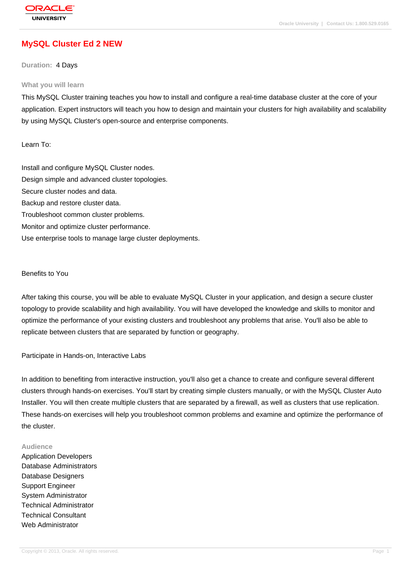# **[MySQL Cluster](http://education.oracle.com/pls/web_prod-plq-dad/db_pages.getpage?page_id=3) Ed 2 NEW**

#### **Duration:** 4 Days

#### **What you will learn**

This MySQL Cluster training teaches you how to install and configure a real-time database cluster at the core of your application. Expert instructors will teach you how to design and maintain your clusters for high availability and scalability by using MySQL Cluster's open-source and enterprise components.

Learn To:

Install and configure MySQL Cluster nodes. Design simple and advanced cluster topologies. Secure cluster nodes and data. Backup and restore cluster data. Troubleshoot common cluster problems. Monitor and optimize cluster performance. Use enterprise tools to manage large cluster deployments.

#### Benefits to You

After taking this course, you will be able to evaluate MySQL Cluster in your application, and design a secure cluster topology to provide scalability and high availability. You will have developed the knowledge and skills to monitor and optimize the performance of your existing clusters and troubleshoot any problems that arise. You'll also be able to replicate between clusters that are separated by function or geography.

Participate in Hands-on, Interactive Labs

In addition to benefiting from interactive instruction, you'll also get a chance to create and configure several different clusters through hands-on exercises. You'll start by creating simple clusters manually, or with the MySQL Cluster Auto Installer. You will then create multiple clusters that are separated by a firewall, as well as clusters that use replication. These hands-on exercises will help you troubleshoot common problems and examine and optimize the performance of the cluster.

#### **Audience**

Application Developers Database Administrators Database Designers Support Engineer System Administrator Technical Administrator Technical Consultant Web Administrator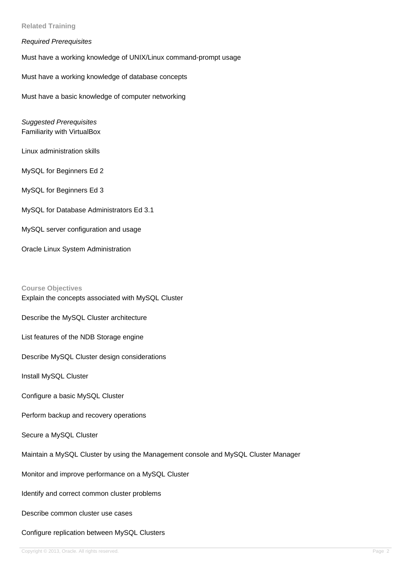**Related Training**

## Required Prerequisites

Must have a working knowledge of UNIX/Linux command-prompt usage

Must have a working knowledge of database concepts

Must have a basic knowledge of computer networking

Suggested Prerequisites Familiarity with VirtualBox

Linux administration skills

MySQL for Beginners Ed 2

MySQL for Beginners Ed 3

MySQL for Database Administrators Ed 3.1

MySQL server configuration and usage

Oracle Linux System Administration

**Course Objectives** Explain the concepts associated with MySQL Cluster

Describe the MySQL Cluster architecture

List features of the NDB Storage engine

Describe MySQL Cluster design considerations

Install MySQL Cluster

Configure a basic MySQL Cluster

Perform backup and recovery operations

Secure a MySQL Cluster

Maintain a MySQL Cluster by using the Management console and MySQL Cluster Manager

Monitor and improve performance on a MySQL Cluster

Identify and correct common cluster problems

Describe common cluster use cases

Configure replication between MySQL Clusters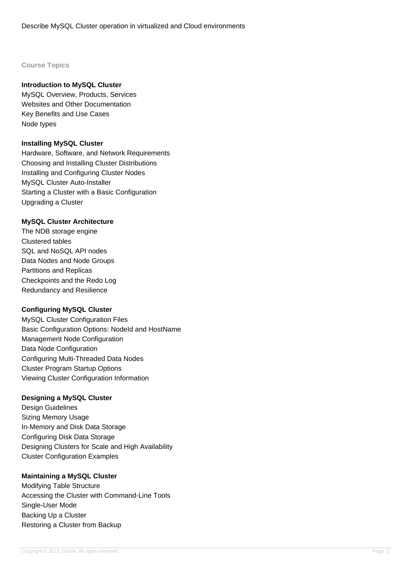## **Course Topics**

## **Introduction to MySQL Cluster**

MySQL Overview, Products, Services Websites and Other Documentation Key Benefits and Use Cases Node types

#### **Installing MySQL Cluster**

Hardware, Software, and Network Requirements Choosing and Installing Cluster Distributions Installing and Configuring Cluster Nodes MySQL Cluster Auto-Installer Starting a Cluster with a Basic Configuration Upgrading a Cluster

#### **MySQL Cluster Architecture**

The NDB storage engine Clustered tables SQL and NoSQL API nodes Data Nodes and Node Groups Partitions and Replicas Checkpoints and the Redo Log Redundancy and Resilience

## **Configuring MySQL Cluster**

MySQL Cluster Configuration Files Basic Configuration Options: NodeId and HostName Management Node Configuration Data Node Configuration Configuring Multi-Threaded Data Nodes Cluster Program Startup Options Viewing Cluster Configuration Information

## **Designing a MySQL Cluster**

Design Guidelines Sizing Memory Usage In-Memory and Disk Data Storage Configuring Disk Data Storage Designing Clusters for Scale and High Availability Cluster Configuration Examples

## **Maintaining a MySQL Cluster**

Modifying Table Structure Accessing the Cluster with Command-Line Tools Single-User Mode Backing Up a Cluster Restoring a Cluster from Backup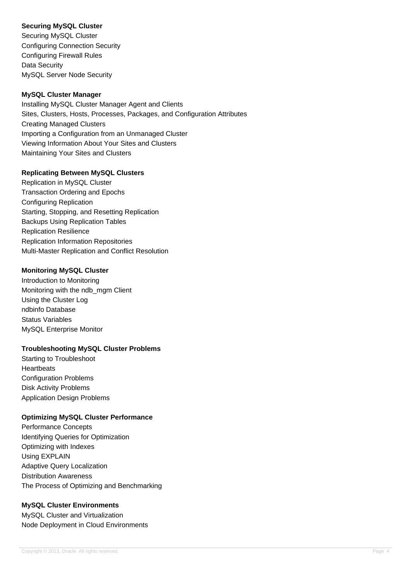## **Securing MySQL Cluster**

Securing MySQL Cluster Configuring Connection Security Configuring Firewall Rules Data Security MySQL Server Node Security

## **MySQL Cluster Manager**

Installing MySQL Cluster Manager Agent and Clients Sites, Clusters, Hosts, Processes, Packages, and Configuration Attributes Creating Managed Clusters Importing a Configuration from an Unmanaged Cluster Viewing Information About Your Sites and Clusters Maintaining Your Sites and Clusters

## **Replicating Between MySQL Clusters**

Replication in MySQL Cluster Transaction Ordering and Epochs Configuring Replication Starting, Stopping, and Resetting Replication Backups Using Replication Tables Replication Resilience Replication Information Repositories Multi-Master Replication and Conflict Resolution

## **Monitoring MySQL Cluster**

Introduction to Monitoring Monitoring with the ndb\_mgm Client Using the Cluster Log ndbinfo Database Status Variables MySQL Enterprise Monitor

## **Troubleshooting MySQL Cluster Problems**

Starting to Troubleshoot **Heartbeats** Configuration Problems Disk Activity Problems Application Design Problems

## **Optimizing MySQL Cluster Performance**

Performance Concepts Identifying Queries for Optimization Optimizing with Indexes Using EXPLAIN Adaptive Query Localization Distribution Awareness The Process of Optimizing and Benchmarking

## **MySQL Cluster Environments**

MySQL Cluster and Virtualization Node Deployment in Cloud Environments